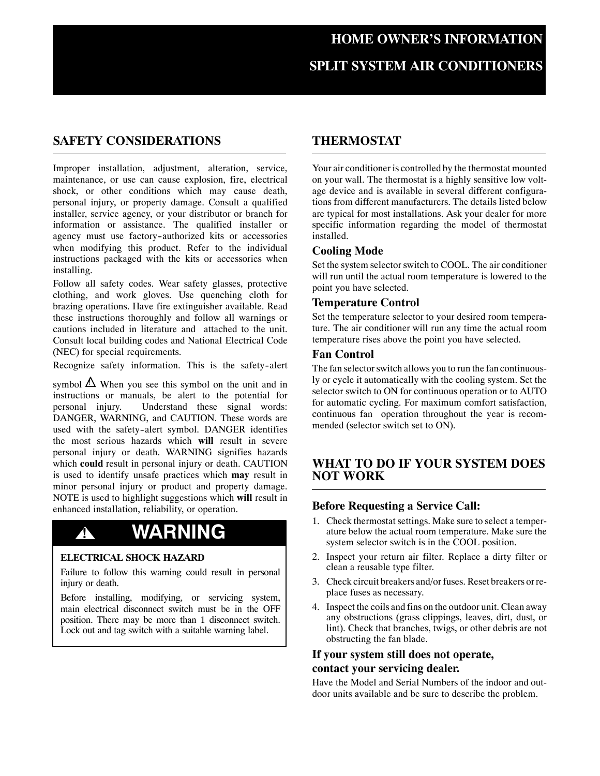## **SAFETY CONSIDERATIONS**

Improper installation, adjustment, alteration, service, maintenance, or use can cause explosion, fire, electrical shock, or other conditions which may cause death, personal injury, or property damage. Consult a qualified installer, service agency, or your distributor or branch for information or assistance. The qualified installer or agency must use factory-authorized kits or accessories when modifying this product. Refer to the individual instructions packaged with the kits or accessories when installing.

Follow all safety codes. Wear safety glasses, protective clothing, and work gloves. Use quenching cloth for brazing operations. Have fire extinguisher available. Read these instructions thoroughly and follow all warnings or cautions included in literature and attached to the unit. Consult local building codes and National Electrical Code (NEC) for special requirements.

Recognize safety information. This is the safety-alert

symbol  $\Delta$  When you see this symbol on the unit and in instructions or manuals, be alert to the potential for personal injury. Understand these signal words: DANGER, WARNING, and CAUTION. These words are used with the safety-alert symbol. DANGER identifies the most serious hazards which **will** result in severe personal injury or death. WARNING signifies hazards which **could** result in personal injury or death. CAUTION is used to identify unsafe practices which **may** result in minor personal injury or product and property damage. NOTE is used to highlight suggestions which **will** result in enhanced installation, reliability, or operation.

# **! WARNING**

#### **ELECTRICAL SHOCK HAZARD**

Failure to follow this warning could result in personal injury or death.

Before installing, modifying, or servicing system, main electrical disconnect switch must be in the OFF position. There may be more than 1 disconnect switch. Lock out and tag switch with a suitable warning label.

## **THERMOSTAT**

Your air conditioner is controlled by the thermostat mounted on your wall. The thermostat is a highly sensitive low voltage device and is available in several different configurations from different manufacturers. The details listed below are typical for most installations. Ask your dealer for more specific information regarding the model of thermostat installed.

#### **Cooling Mode**

Set the system selector switch to COOL. The air conditioner will run until the actual room temperature is lowered to the point you have selected.

#### **Temperature Control**

Set the temperature selector to your desired room temperature. The air conditioner will run any time the actual room temperature rises above the point you have selected.

#### **Fan Control**

The fan selector switch allows you to run the fan continuously or cycle it automatically with the cooling system. Set the selector switch to ON for continuous operation or to AUTO for automatic cycling. For maximum comfort satisfaction, continuous fan operation throughout the year is recommended (selector switch set to ON).

## **WHAT TO DO IF YOUR SYSTEM DOES NOT WORK**

#### **Before Requesting a Service Call:**

- 1. Check thermostat settings. Make sure to select a temperature below the actual room temperature. Make sure the system selector switch is in the COOL position.
- 2. Inspect your return air filter. Replace a dirty filter or clean a reusable type filter.
- 3. Check circuit breakers and/or fuses. Reset breakers or replace fuses as necessary.
- 4. Inspect the coils and fins on the outdoor unit. Clean away any obstructions (grass clippings, leaves, dirt, dust, or lint). Check that branches, twigs, or other debris are not obstructing the fan blade.

## **If your system still does not operate, contact your servicing dealer.**

Have the Model and Serial Numbers of the indoor and outdoor units available and be sure to describe the problem.